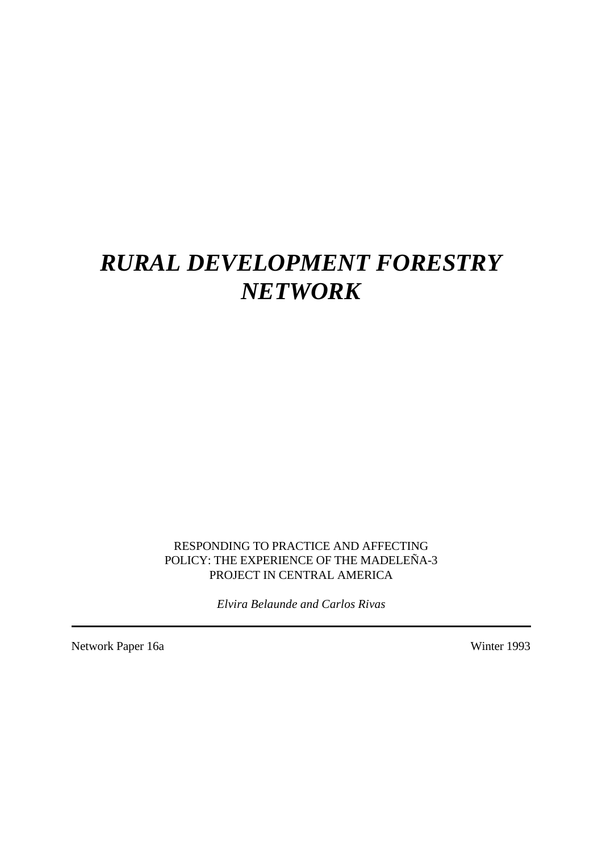# *RURAL DEVELOPMENT FORESTRY NETWORK*

RESPONDING TO PRACTICE AND AFFECTING POLICY: THE EXPERIENCE OF THE MADELEÑA-3 PROJECT IN CENTRAL AMERICA

*Elvira Belaunde and Carlos Rivas*

Network Paper 16a Winter 1993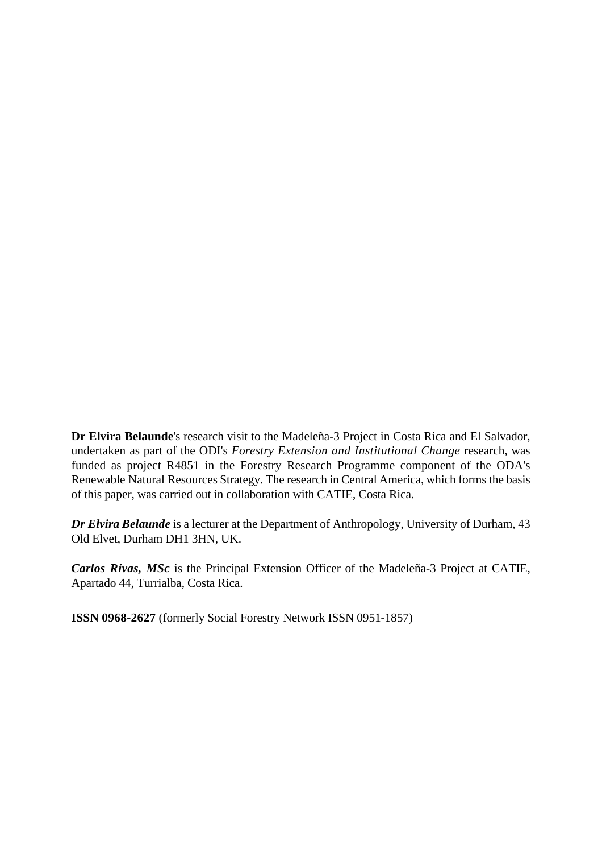**Dr Elvira Belaunde**'s research visit to the Madeleña-3 Project in Costa Rica and El Salvador, undertaken as part of the ODI's *Forestry Extension and Institutional Change* research, was funded as project R4851 in the Forestry Research Programme component of the ODA's Renewable Natural Resources Strategy. The research in Central America, which forms the basis of this paper, was carried out in collaboration with CATIE, Costa Rica.

*Dr Elvira Belaunde* is a lecturer at the Department of Anthropology, University of Durham, 43 Old Elvet, Durham DH1 3HN, UK.

*Carlos Rivas, MSc* is the Principal Extension Officer of the Madeleña-3 Project at CATIE, Apartado 44, Turrialba, Costa Rica.

**ISSN 0968-2627** (formerly Social Forestry Network ISSN 0951-1857)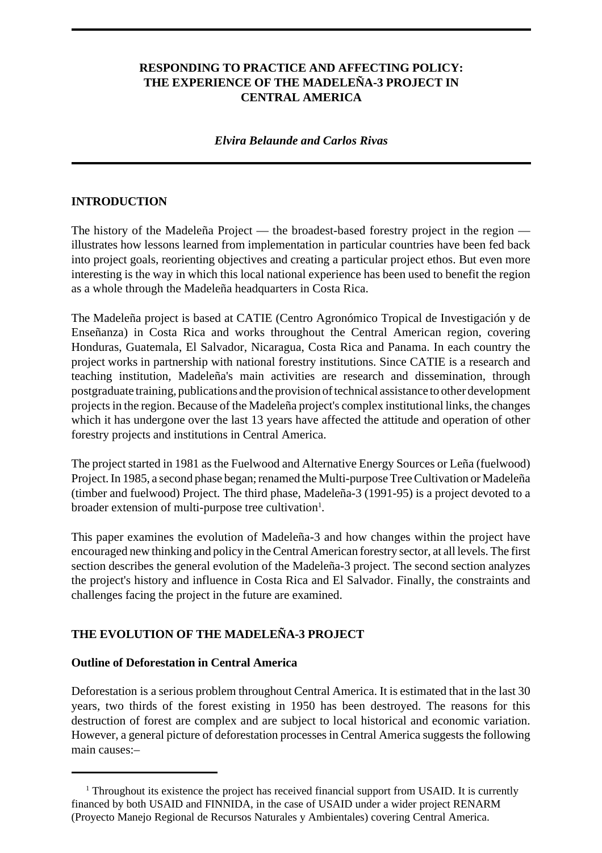#### **RESPONDING TO PRACTICE AND AFFECTING POLICY: THE EXPERIENCE OF THE MADELEÑA-3 PROJECT IN CENTRAL AMERICA**

#### *Elvira Belaunde and Carlos Rivas*

#### **INTRODUCTION**

The history of the Madeleña Project — the broadest-based forestry project in the region illustrates how lessons learned from implementation in particular countries have been fed back into project goals, reorienting objectives and creating a particular project ethos. But even more interesting is the way in which this local national experience has been used to benefit the region as a whole through the Madeleña headquarters in Costa Rica.

The Madeleña project is based at CATIE (Centro Agronómico Tropical de Investigación y de Enseñanza) in Costa Rica and works throughout the Central American region, covering Honduras, Guatemala, El Salvador, Nicaragua, Costa Rica and Panama. In each country the project works in partnership with national forestry institutions. Since CATIE is a research and teaching institution, Madeleña's main activities are research and dissemination, through postgraduate training, publications and the provision of technical assistance to other development projects in the region. Because of the Madeleña project's complex institutional links, the changes which it has undergone over the last 13 years have affected the attitude and operation of other forestry projects and institutions in Central America.

The project started in 1981 as the Fuelwood and Alternative Energy Sources or Leña (fuelwood) Project. In 1985, a second phase began; renamed the Multi-purpose Tree Cultivation or Madeleña (timber and fuelwood) Project. The third phase, Madeleña-3 (1991-95) is a project devoted to a broader extension of multi-purpose tree cultivation<sup>1</sup>.

This paper examines the evolution of Madeleña-3 and how changes within the project have encouraged new thinking and policy in the Central American forestry sector, at all levels. The first section describes the general evolution of the Madeleña-3 project. The second section analyzes the project's history and influence in Costa Rica and El Salvador. Finally, the constraints and challenges facing the project in the future are examined.

#### **THE EVOLUTION OF THE MADELEÑA-3 PROJECT**

#### **Outline of Deforestation in Central America**

Deforestation is a serious problem throughout Central America. It is estimated that in the last 30 years, two thirds of the forest existing in 1950 has been destroyed. The reasons for this destruction of forest are complex and are subject to local historical and economic variation. However, a general picture of deforestation processes in Central America suggests the following main causes:–

<sup>&</sup>lt;sup>1</sup> Throughout its existence the project has received financial support from USAID. It is currently financed by both USAID and FINNIDA, in the case of USAID under a wider project RENARM (Proyecto Manejo Regional de Recursos Naturales y Ambientales) covering Central America.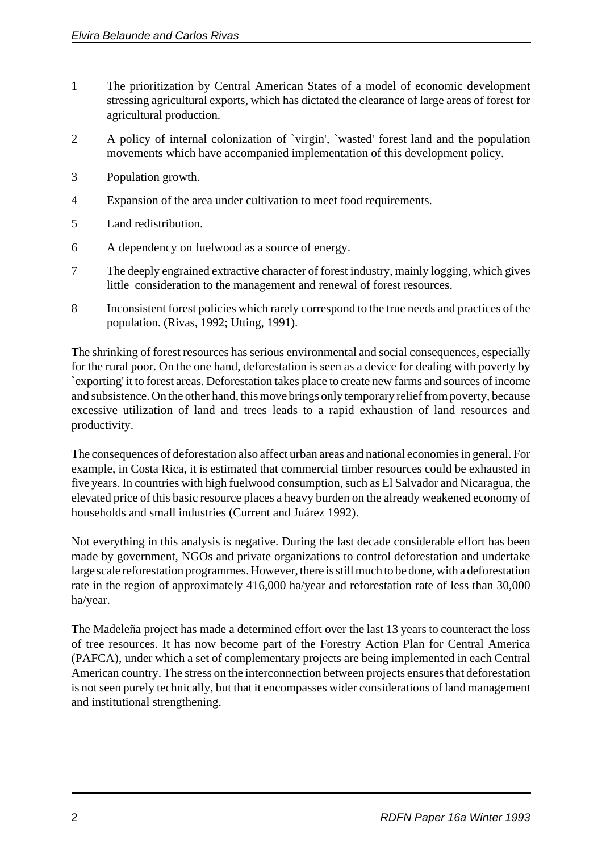- 1 The prioritization by Central American States of a model of economic development stressing agricultural exports, which has dictated the clearance of large areas of forest for agricultural production.
- 2 A policy of internal colonization of `virgin', `wasted' forest land and the population movements which have accompanied implementation of this development policy.
- 3 Population growth.
- 4 Expansion of the area under cultivation to meet food requirements.
- 5 Land redistribution.
- 6 A dependency on fuelwood as a source of energy.
- 7 The deeply engrained extractive character of forest industry, mainly logging, which gives little consideration to the management and renewal of forest resources.
- 8 Inconsistent forest policies which rarely correspond to the true needs and practices of the population. (Rivas, 1992; Utting, 1991).

The shrinking of forest resources has serious environmental and social consequences, especially for the rural poor. On the one hand, deforestation is seen as a device for dealing with poverty by `exporting' it to forest areas. Deforestation takes place to create new farms and sources of income and subsistence. On the other hand, this move brings only temporary relief from poverty, because excessive utilization of land and trees leads to a rapid exhaustion of land resources and productivity.

The consequences of deforestation also affect urban areas and national economies in general. For example, in Costa Rica, it is estimated that commercial timber resources could be exhausted in five years. In countries with high fuelwood consumption, such as El Salvador and Nicaragua, the elevated price of this basic resource places a heavy burden on the already weakened economy of households and small industries (Current and Juárez 1992).

Not everything in this analysis is negative. During the last decade considerable effort has been made by government, NGOs and private organizations to control deforestation and undertake large scale reforestation programmes. However, there is still much to be done, with a deforestation rate in the region of approximately 416,000 ha/year and reforestation rate of less than 30,000 ha/year.

The Madeleña project has made a determined effort over the last 13 years to counteract the loss of tree resources. It has now become part of the Forestry Action Plan for Central America (PAFCA), under which a set of complementary projects are being implemented in each Central American country. The stress on the interconnection between projects ensures that deforestation is not seen purely technically, but that it encompasses wider considerations of land management and institutional strengthening.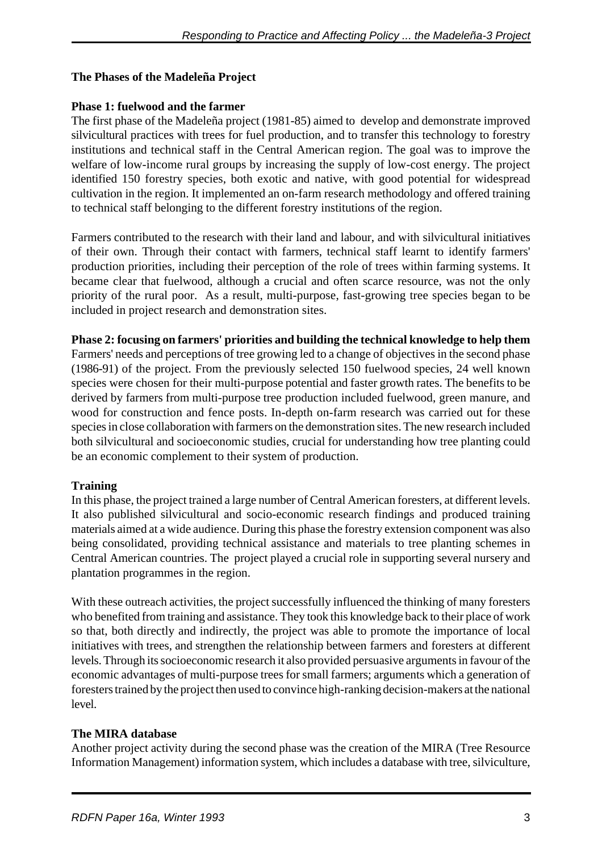## **The Phases of the Madeleña Project**

## **Phase 1: fuelwood and the farmer**

The first phase of the Madeleña project (1981-85) aimed to develop and demonstrate improved silvicultural practices with trees for fuel production, and to transfer this technology to forestry institutions and technical staff in the Central American region. The goal was to improve the welfare of low-income rural groups by increasing the supply of low-cost energy. The project identified 150 forestry species, both exotic and native, with good potential for widespread cultivation in the region. It implemented an on-farm research methodology and offered training to technical staff belonging to the different forestry institutions of the region.

Farmers contributed to the research with their land and labour, and with silvicultural initiatives of their own. Through their contact with farmers, technical staff learnt to identify farmers' production priorities, including their perception of the role of trees within farming systems. It became clear that fuelwood, although a crucial and often scarce resource, was not the only priority of the rural poor. As a result, multi-purpose, fast-growing tree species began to be included in project research and demonstration sites.

## **Phase 2: focusing on farmers' priorities and building the technical knowledge to help them**

Farmers' needs and perceptions of tree growing led to a change of objectives in the second phase (1986-91) of the project. From the previously selected 150 fuelwood species, 24 well known species were chosen for their multi-purpose potential and faster growth rates. The benefits to be derived by farmers from multi-purpose tree production included fuelwood, green manure, and wood for construction and fence posts. In-depth on-farm research was carried out for these species in close collaboration with farmers on the demonstration sites. The new research included both silvicultural and socioeconomic studies, crucial for understanding how tree planting could be an economic complement to their system of production.

## **Training**

In this phase, the project trained a large number of Central American foresters, at different levels. It also published silvicultural and socio-economic research findings and produced training materials aimed at a wide audience. During this phase the forestry extension component was also being consolidated, providing technical assistance and materials to tree planting schemes in Central American countries. The project played a crucial role in supporting several nursery and plantation programmes in the region.

With these outreach activities, the project successfully influenced the thinking of many foresters who benefited from training and assistance. They took this knowledge back to their place of work so that, both directly and indirectly, the project was able to promote the importance of local initiatives with trees, and strengthen the relationship between farmers and foresters at different levels. Through its socioeconomic research it also provided persuasive arguments in favour of the economic advantages of multi-purpose trees for small farmers; arguments which a generation of foresters trained by the project then used to convince high-ranking decision-makers at the national level.

## **The MIRA database**

Another project activity during the second phase was the creation of the MIRA (Tree Resource Information Management) information system, which includes a database with tree, silviculture,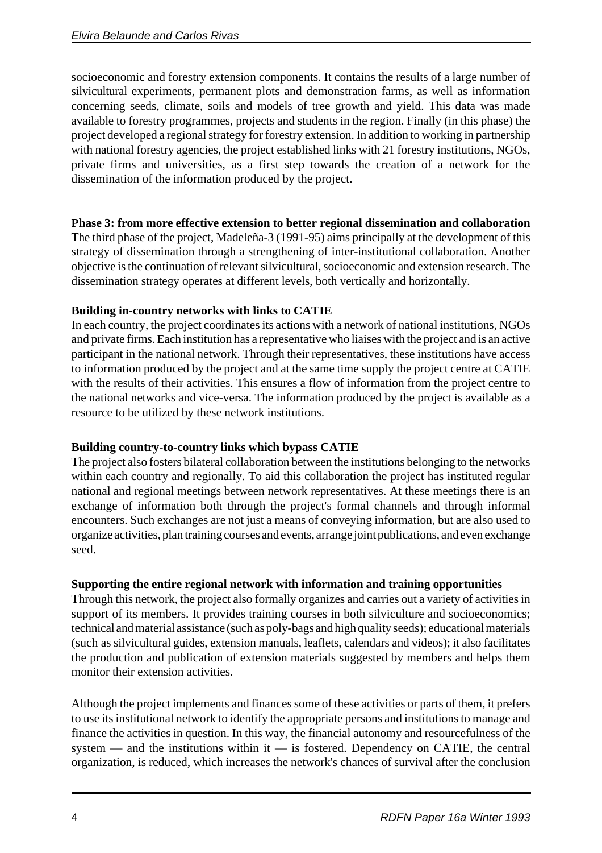socioeconomic and forestry extension components. It contains the results of a large number of silvicultural experiments, permanent plots and demonstration farms, as well as information concerning seeds, climate, soils and models of tree growth and yield. This data was made available to forestry programmes, projects and students in the region. Finally (in this phase) the project developed a regional strategy for forestry extension. In addition to working in partnership with national forestry agencies, the project established links with 21 forestry institutions, NGOs, private firms and universities, as a first step towards the creation of a network for the dissemination of the information produced by the project.

## **Phase 3: from more effective extension to better regional dissemination and collaboration**

The third phase of the project, Madeleña-3 (1991-95) aims principally at the development of this strategy of dissemination through a strengthening of inter-institutional collaboration. Another objective is the continuation of relevant silvicultural, socioeconomic and extension research. The dissemination strategy operates at different levels, both vertically and horizontally.

## **Building in-country networks with links to CATIE**

In each country, the project coordinates its actions with a network of national institutions, NGOs and private firms. Each institution has a representative who liaises with the project and is an active participant in the national network. Through their representatives, these institutions have access to information produced by the project and at the same time supply the project centre at CATIE with the results of their activities. This ensures a flow of information from the project centre to the national networks and vice-versa. The information produced by the project is available as a resource to be utilized by these network institutions.

## **Building country-to-country links which bypass CATIE**

The project also fosters bilateral collaboration between the institutions belonging to the networks within each country and regionally. To aid this collaboration the project has instituted regular national and regional meetings between network representatives. At these meetings there is an exchange of information both through the project's formal channels and through informal encounters. Such exchanges are not just a means of conveying information, but are also used to organize activities, plan training courses and events, arrange joint publications, and even exchange seed.

## **Supporting the entire regional network with information and training opportunities**

Through this network, the project also formally organizes and carries out a variety of activities in support of its members. It provides training courses in both silviculture and socioeconomics; technical and material assistance (such as poly-bags and high quality seeds); educational materials (such as silvicultural guides, extension manuals, leaflets, calendars and videos); it also facilitates the production and publication of extension materials suggested by members and helps them monitor their extension activities.

Although the project implements and finances some of these activities or parts of them, it prefers to use its institutional network to identify the appropriate persons and institutions to manage and finance the activities in question. In this way, the financial autonomy and resourcefulness of the system — and the institutions within it — is fostered. Dependency on CATIE, the central organization, is reduced, which increases the network's chances of survival after the conclusion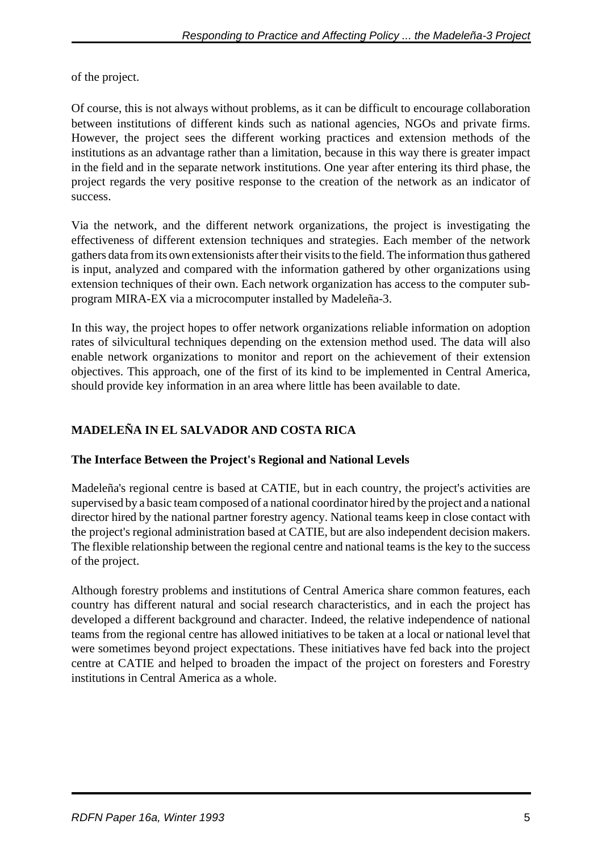of the project.

Of course, this is not always without problems, as it can be difficult to encourage collaboration between institutions of different kinds such as national agencies, NGOs and private firms. However, the project sees the different working practices and extension methods of the institutions as an advantage rather than a limitation, because in this way there is greater impact in the field and in the separate network institutions. One year after entering its third phase, the project regards the very positive response to the creation of the network as an indicator of success.

Via the network, and the different network organizations, the project is investigating the effectiveness of different extension techniques and strategies. Each member of the network gathers data from its own extensionists after their visits to the field. The information thus gathered is input, analyzed and compared with the information gathered by other organizations using extension techniques of their own. Each network organization has access to the computer subprogram MIRA-EX via a microcomputer installed by Madeleña-3.

In this way, the project hopes to offer network organizations reliable information on adoption rates of silvicultural techniques depending on the extension method used. The data will also enable network organizations to monitor and report on the achievement of their extension objectives. This approach, one of the first of its kind to be implemented in Central America, should provide key information in an area where little has been available to date.

## **MADELEÑA IN EL SALVADOR AND COSTA RICA**

## **The Interface Between the Project's Regional and National Levels**

Madeleña's regional centre is based at CATIE, but in each country, the project's activities are supervised by a basic team composed of a national coordinator hired by the project and a national director hired by the national partner forestry agency. National teams keep in close contact with the project's regional administration based at CATIE, but are also independent decision makers. The flexible relationship between the regional centre and national teams is the key to the success of the project.

Although forestry problems and institutions of Central America share common features, each country has different natural and social research characteristics, and in each the project has developed a different background and character. Indeed, the relative independence of national teams from the regional centre has allowed initiatives to be taken at a local or national level that were sometimes beyond project expectations. These initiatives have fed back into the project centre at CATIE and helped to broaden the impact of the project on foresters and Forestry institutions in Central America as a whole.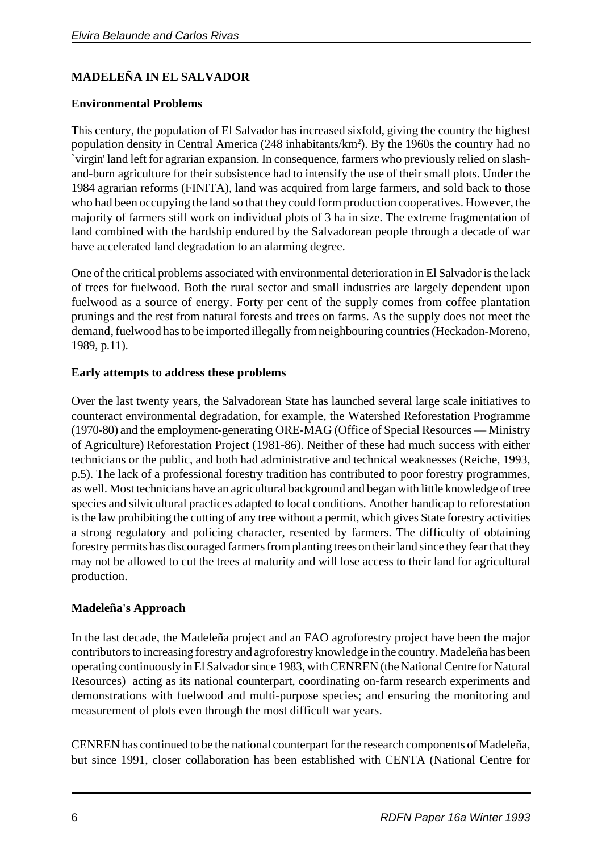## **MADELEÑA IN EL SALVADOR**

## **Environmental Problems**

This century, the population of El Salvador has increased sixfold, giving the country the highest population density in Central America (248 inhabitants/km<sup>2</sup>). By the 1960s the country had no `virgin' land left for agrarian expansion. In consequence, farmers who previously relied on slashand-burn agriculture for their subsistence had to intensify the use of their small plots. Under the 1984 agrarian reforms (FINITA), land was acquired from large farmers, and sold back to those who had been occupying the land so that they could form production cooperatives. However, the majority of farmers still work on individual plots of 3 ha in size. The extreme fragmentation of land combined with the hardship endured by the Salvadorean people through a decade of war have accelerated land degradation to an alarming degree.

One of the critical problems associated with environmental deterioration in El Salvador is the lack of trees for fuelwood. Both the rural sector and small industries are largely dependent upon fuelwood as a source of energy. Forty per cent of the supply comes from coffee plantation prunings and the rest from natural forests and trees on farms. As the supply does not meet the demand, fuelwood has to be imported illegally from neighbouring countries (Heckadon-Moreno, 1989, p.11).

#### **Early attempts to address these problems**

Over the last twenty years, the Salvadorean State has launched several large scale initiatives to counteract environmental degradation, for example, the Watershed Reforestation Programme (1970-80) and the employment-generating ORE-MAG (Office of Special Resources — Ministry of Agriculture) Reforestation Project (1981-86). Neither of these had much success with either technicians or the public, and both had administrative and technical weaknesses (Reiche, 1993, p.5). The lack of a professional forestry tradition has contributed to poor forestry programmes, as well. Most technicians have an agricultural background and began with little knowledge of tree species and silvicultural practices adapted to local conditions. Another handicap to reforestation is the law prohibiting the cutting of any tree without a permit, which gives State forestry activities a strong regulatory and policing character, resented by farmers. The difficulty of obtaining forestry permits has discouraged farmers from planting trees on their land since they fear that they may not be allowed to cut the trees at maturity and will lose access to their land for agricultural production.

## **Madeleña's Approach**

In the last decade, the Madeleña project and an FAO agroforestry project have been the major contributors to increasing forestry and agroforestry knowledge in the country. Madeleña has been operating continuously in El Salvador since 1983, with CENREN (the National Centre for Natural Resources) acting as its national counterpart, coordinating on-farm research experiments and demonstrations with fuelwood and multi-purpose species; and ensuring the monitoring and measurement of plots even through the most difficult war years.

CENREN has continued to be the national counterpart for the research components of Madeleña, but since 1991, closer collaboration has been established with CENTA (National Centre for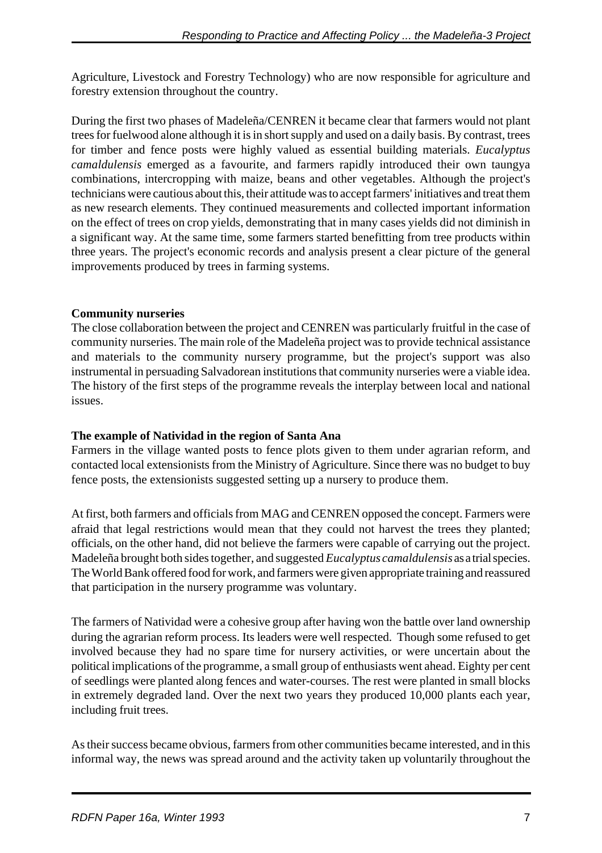Agriculture, Livestock and Forestry Technology) who are now responsible for agriculture and forestry extension throughout the country.

During the first two phases of Madeleña/CENREN it became clear that farmers would not plant trees for fuelwood alone although it is in short supply and used on a daily basis. By contrast, trees for timber and fence posts were highly valued as essential building materials. *Eucalyptus camaldulensis* emerged as a favourite, and farmers rapidly introduced their own taungya combinations, intercropping with maize, beans and other vegetables. Although the project's technicians were cautious about this, their attitude was to accept farmers' initiatives and treat them as new research elements. They continued measurements and collected important information on the effect of trees on crop yields, demonstrating that in many cases yields did not diminish in a significant way. At the same time, some farmers started benefitting from tree products within three years. The project's economic records and analysis present a clear picture of the general improvements produced by trees in farming systems.

## **Community nurseries**

The close collaboration between the project and CENREN was particularly fruitful in the case of community nurseries. The main role of the Madeleña project was to provide technical assistance and materials to the community nursery programme, but the project's support was also instrumental in persuading Salvadorean institutions that community nurseries were a viable idea. The history of the first steps of the programme reveals the interplay between local and national issues.

## **The example of Natividad in the region of Santa Ana**

Farmers in the village wanted posts to fence plots given to them under agrarian reform, and contacted local extensionists from the Ministry of Agriculture. Since there was no budget to buy fence posts, the extensionists suggested setting up a nursery to produce them.

At first, both farmers and officials from MAG and CENREN opposed the concept. Farmers were afraid that legal restrictions would mean that they could not harvest the trees they planted; officials, on the other hand, did not believe the farmers were capable of carrying out the project. Madeleña brought both sides together, and suggested *Eucalyptus camaldulensis* as a trial species. The World Bank offered food for work, and farmers were given appropriate training and reassured that participation in the nursery programme was voluntary.

The farmers of Natividad were a cohesive group after having won the battle over land ownership during the agrarian reform process. Its leaders were well respected. Though some refused to get involved because they had no spare time for nursery activities, or were uncertain about the political implications of the programme, a small group of enthusiasts went ahead. Eighty per cent of seedlings were planted along fences and water-courses. The rest were planted in small blocks in extremely degraded land. Over the next two years they produced 10,000 plants each year, including fruit trees.

As their success became obvious, farmers from other communities became interested, and in this informal way, the news was spread around and the activity taken up voluntarily throughout the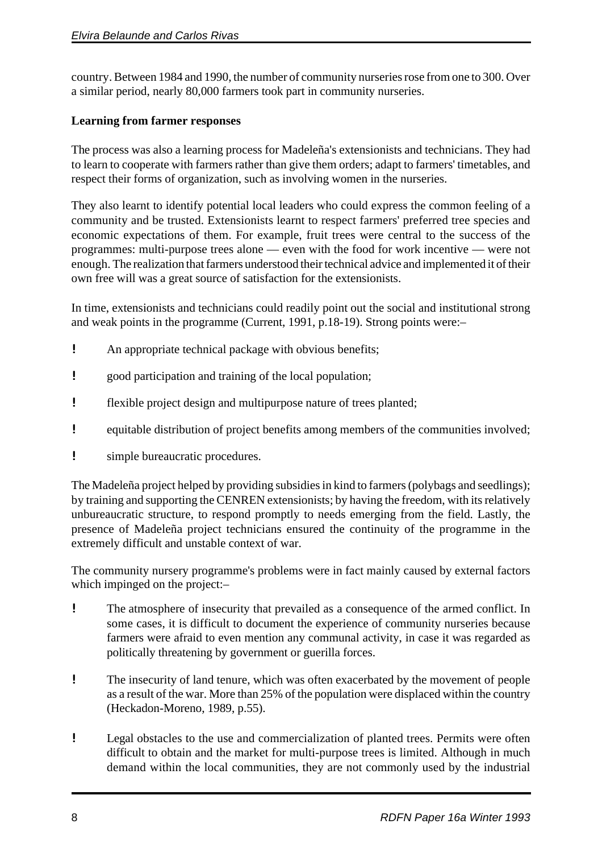country. Between 1984 and 1990, the number of community nurseries rose from one to 300. Over a similar period, nearly 80,000 farmers took part in community nurseries.

## **Learning from farmer responses**

The process was also a learning process for Madeleña's extensionists and technicians. They had to learn to cooperate with farmers rather than give them orders; adapt to farmers' timetables, and respect their forms of organization, such as involving women in the nurseries.

They also learnt to identify potential local leaders who could express the common feeling of a community and be trusted. Extensionists learnt to respect farmers' preferred tree species and economic expectations of them. For example, fruit trees were central to the success of the programmes: multi-purpose trees alone — even with the food for work incentive — were not enough. The realization that farmers understood their technical advice and implemented it of their own free will was a great source of satisfaction for the extensionists.

In time, extensionists and technicians could readily point out the social and institutional strong and weak points in the programme (Current, 1991, p.18-19). Strong points were:–

- ! An appropriate technical package with obvious benefits;
- **E** good participation and training of the local population;
- ! flexible project design and multipurpose nature of trees planted;
- ! equitable distribution of project benefits among members of the communities involved;
- ! simple bureaucratic procedures.

The Madeleña project helped by providing subsidies in kind to farmers (polybags and seedlings); by training and supporting the CENREN extensionists; by having the freedom, with its relatively unbureaucratic structure, to respond promptly to needs emerging from the field. Lastly, the presence of Madeleña project technicians ensured the continuity of the programme in the extremely difficult and unstable context of war.

The community nursery programme's problems were in fact mainly caused by external factors which impinged on the project:–

- ! The atmosphere of insecurity that prevailed as a consequence of the armed conflict. In some cases, it is difficult to document the experience of community nurseries because farmers were afraid to even mention any communal activity, in case it was regarded as politically threatening by government or guerilla forces.
- ! The insecurity of land tenure, which was often exacerbated by the movement of people as a result of the war. More than 25% of the population were displaced within the country (Heckadon-Moreno, 1989, p.55).
- ! Legal obstacles to the use and commercialization of planted trees. Permits were often difficult to obtain and the market for multi-purpose trees is limited. Although in much demand within the local communities, they are not commonly used by the industrial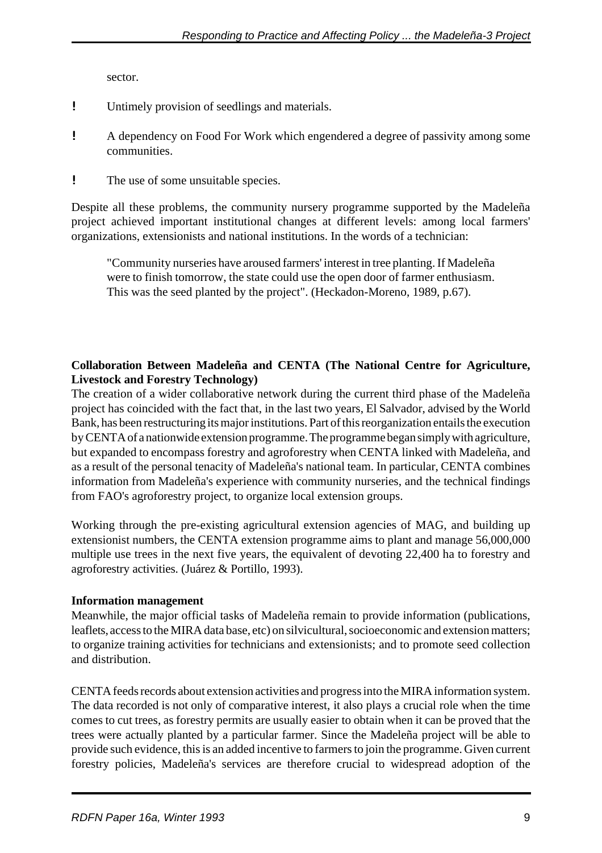sector.

- ! Untimely provision of seedlings and materials.
- ! A dependency on Food For Work which engendered a degree of passivity among some communities.
- ! The use of some unsuitable species.

Despite all these problems, the community nursery programme supported by the Madeleña project achieved important institutional changes at different levels: among local farmers' organizations, extensionists and national institutions. In the words of a technician:

"Community nurseries have aroused farmers' interest in tree planting. If Madeleña were to finish tomorrow, the state could use the open door of farmer enthusiasm. This was the seed planted by the project". (Heckadon-Moreno, 1989, p.67).

## **Collaboration Between Madeleña and CENTA (The National Centre for Agriculture, Livestock and Forestry Technology)**

The creation of a wider collaborative network during the current third phase of the Madeleña project has coincided with the fact that, in the last two years, El Salvador, advised by the World Bank, has been restructuring its major institutions. Part of this reorganization entails the execution by CENTA of a nationwide extension programme. The programme began simply with agriculture, but expanded to encompass forestry and agroforestry when CENTA linked with Madeleña, and as a result of the personal tenacity of Madeleña's national team. In particular, CENTA combines information from Madeleña's experience with community nurseries, and the technical findings from FAO's agroforestry project, to organize local extension groups.

Working through the pre-existing agricultural extension agencies of MAG, and building up extensionist numbers, the CENTA extension programme aims to plant and manage 56,000,000 multiple use trees in the next five years, the equivalent of devoting 22,400 ha to forestry and agroforestry activities. (Juárez & Portillo, 1993).

## **Information management**

Meanwhile, the major official tasks of Madeleña remain to provide information (publications, leaflets, access to the MIRA data base, etc) on silvicultural, socioeconomic and extension matters; to organize training activities for technicians and extensionists; and to promote seed collection and distribution.

CENTA feeds records about extension activities and progress into the MIRA information system. The data recorded is not only of comparative interest, it also plays a crucial role when the time comes to cut trees, as forestry permits are usually easier to obtain when it can be proved that the trees were actually planted by a particular farmer. Since the Madeleña project will be able to provide such evidence, this is an added incentive to farmers to join the programme. Given current forestry policies, Madeleña's services are therefore crucial to widespread adoption of the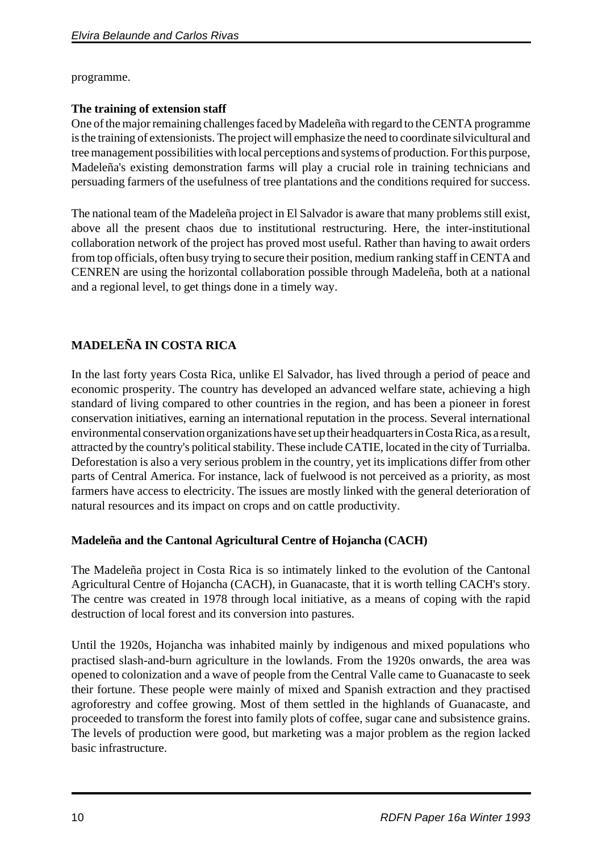programme.

## **The training of extension staff**

One of the major remaining challenges faced by Madeleña with regard to the CENTA programme is the training of extensionists. The project will emphasize the need to coordinate silvicultural and tree management possibilities with local perceptions and systems of production. For this purpose, Madeleña's existing demonstration farms will play a crucial role in training technicians and persuading farmers of the usefulness of tree plantations and the conditions required for success.

The national team of the Madeleña project in El Salvador is aware that many problems still exist, above all the present chaos due to institutional restructuring. Here, the inter-institutional collaboration network of the project has proved most useful. Rather than having to await orders from top officials, often busy trying to secure their position, medium ranking staff in CENTA and CENREN are using the horizontal collaboration possible through Madeleña, both at a national and a regional level, to get things done in a timely way.

# **MADELEÑA IN COSTA RICA**

In the last forty years Costa Rica, unlike El Salvador, has lived through a period of peace and economic prosperity. The country has developed an advanced welfare state, achieving a high standard of living compared to other countries in the region, and has been a pioneer in forest conservation initiatives, earning an international reputation in the process. Several international environmental conservation organizations have set up their headquarters in Costa Rica, as a result, attracted by the country's political stability. These include CATIE, located in the city of Turrialba. Deforestation is also a very serious problem in the country, yet its implications differ from other parts of Central America. For instance, lack of fuelwood is not perceived as a priority, as most farmers have access to electricity. The issues are mostly linked with the general deterioration of natural resources and its impact on crops and on cattle productivity.

## **Madeleña and the Cantonal Agricultural Centre of Hojancha (CACH)**

The Madeleña project in Costa Rica is so intimately linked to the evolution of the Cantonal Agricultural Centre of Hojancha (CACH), in Guanacaste, that it is worth telling CACH's story. The centre was created in 1978 through local initiative, as a means of coping with the rapid destruction of local forest and its conversion into pastures.

Until the 1920s, Hojancha was inhabited mainly by indigenous and mixed populations who practised slash-and-burn agriculture in the lowlands. From the 1920s onwards, the area was opened to colonization and a wave of people from the Central Valle came to Guanacaste to seek their fortune. These people were mainly of mixed and Spanish extraction and they practised agroforestry and coffee growing. Most of them settled in the highlands of Guanacaste, and proceeded to transform the forest into family plots of coffee, sugar cane and subsistence grains. The levels of production were good, but marketing was a major problem as the region lacked basic infrastructure.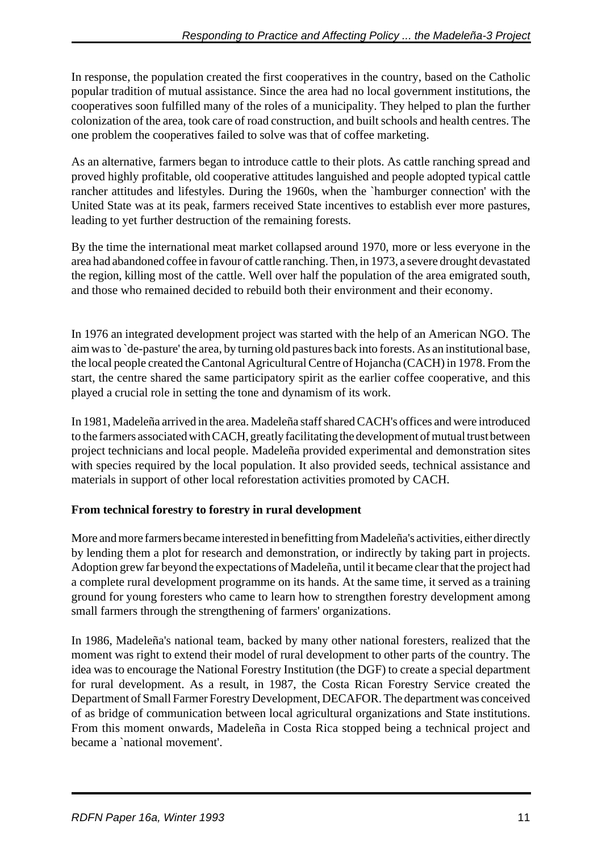In response, the population created the first cooperatives in the country, based on the Catholic popular tradition of mutual assistance. Since the area had no local government institutions, the cooperatives soon fulfilled many of the roles of a municipality. They helped to plan the further colonization of the area, took care of road construction, and built schools and health centres. The one problem the cooperatives failed to solve was that of coffee marketing.

As an alternative, farmers began to introduce cattle to their plots. As cattle ranching spread and proved highly profitable, old cooperative attitudes languished and people adopted typical cattle rancher attitudes and lifestyles. During the 1960s, when the `hamburger connection' with the United State was at its peak, farmers received State incentives to establish ever more pastures, leading to yet further destruction of the remaining forests.

By the time the international meat market collapsed around 1970, more or less everyone in the area had abandoned coffee in favour of cattle ranching. Then, in 1973, a severe drought devastated the region, killing most of the cattle. Well over half the population of the area emigrated south, and those who remained decided to rebuild both their environment and their economy.

In 1976 an integrated development project was started with the help of an American NGO. The aim was to `de-pasture' the area, by turning old pastures back into forests. As an institutional base, the local people created the Cantonal Agricultural Centre of Hojancha (CACH) in 1978. From the start, the centre shared the same participatory spirit as the earlier coffee cooperative, and this played a crucial role in setting the tone and dynamism of its work.

In 1981, Madeleña arrived in the area. Madeleña staff shared CACH's offices and were introduced to the farmers associated with CACH, greatly facilitating the development of mutual trust between project technicians and local people. Madeleña provided experimental and demonstration sites with species required by the local population. It also provided seeds, technical assistance and materials in support of other local reforestation activities promoted by CACH.

## **From technical forestry to forestry in rural development**

More and more farmers became interested in benefitting from Madeleña's activities, either directly by lending them a plot for research and demonstration, or indirectly by taking part in projects. Adoption grew far beyond the expectations of Madeleña, until it became clear that the project had a complete rural development programme on its hands. At the same time, it served as a training ground for young foresters who came to learn how to strengthen forestry development among small farmers through the strengthening of farmers' organizations.

In 1986, Madeleña's national team, backed by many other national foresters, realized that the moment was right to extend their model of rural development to other parts of the country. The idea was to encourage the National Forestry Institution (the DGF) to create a special department for rural development. As a result, in 1987, the Costa Rican Forestry Service created the Department of Small Farmer Forestry Development, DECAFOR. The department was conceived of as bridge of communication between local agricultural organizations and State institutions. From this moment onwards, Madeleña in Costa Rica stopped being a technical project and became a `national movement'.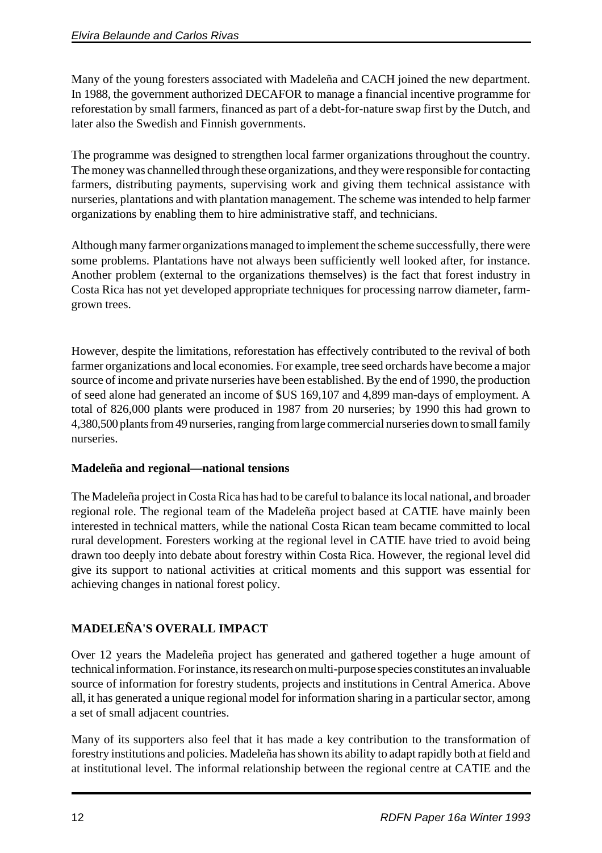Many of the young foresters associated with Madeleña and CACH joined the new department. In 1988, the government authorized DECAFOR to manage a financial incentive programme for reforestation by small farmers, financed as part of a debt-for-nature swap first by the Dutch, and later also the Swedish and Finnish governments.

The programme was designed to strengthen local farmer organizations throughout the country. The money was channelled through these organizations, and they were responsible for contacting farmers, distributing payments, supervising work and giving them technical assistance with nurseries, plantations and with plantation management. The scheme was intended to help farmer organizations by enabling them to hire administrative staff, and technicians.

Although many farmer organizations managed to implement the scheme successfully, there were some problems. Plantations have not always been sufficiently well looked after, for instance. Another problem (external to the organizations themselves) is the fact that forest industry in Costa Rica has not yet developed appropriate techniques for processing narrow diameter, farmgrown trees.

However, despite the limitations, reforestation has effectively contributed to the revival of both farmer organizations and local economies. For example, tree seed orchards have become a major source of income and private nurseries have been established. By the end of 1990, the production of seed alone had generated an income of \$US 169,107 and 4,899 man-days of employment. A total of 826,000 plants were produced in 1987 from 20 nurseries; by 1990 this had grown to 4,380,500 plants from 49 nurseries, ranging from large commercial nurseries down to small family nurseries.

## **Madeleña and regional—national tensions**

The Madeleña project in Costa Rica has had to be careful to balance its local national, and broader regional role. The regional team of the Madeleña project based at CATIE have mainly been interested in technical matters, while the national Costa Rican team became committed to local rural development. Foresters working at the regional level in CATIE have tried to avoid being drawn too deeply into debate about forestry within Costa Rica. However, the regional level did give its support to national activities at critical moments and this support was essential for achieving changes in national forest policy.

# **MADELEÑA'S OVERALL IMPACT**

Over 12 years the Madeleña project has generated and gathered together a huge amount of technical information. For instance, its research on multi-purpose species constitutes an invaluable source of information for forestry students, projects and institutions in Central America. Above all, it has generated a unique regional model for information sharing in a particular sector, among a set of small adjacent countries.

Many of its supporters also feel that it has made a key contribution to the transformation of forestry institutions and policies. Madeleña has shown its ability to adapt rapidly both at field and at institutional level. The informal relationship between the regional centre at CATIE and the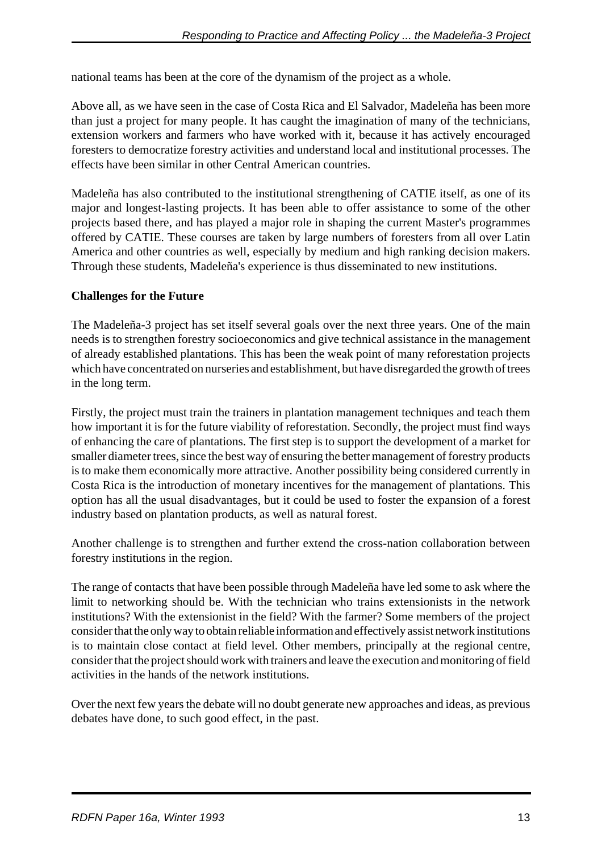national teams has been at the core of the dynamism of the project as a whole.

Above all, as we have seen in the case of Costa Rica and El Salvador, Madeleña has been more than just a project for many people. It has caught the imagination of many of the technicians, extension workers and farmers who have worked with it, because it has actively encouraged foresters to democratize forestry activities and understand local and institutional processes. The effects have been similar in other Central American countries.

Madeleña has also contributed to the institutional strengthening of CATIE itself, as one of its major and longest-lasting projects. It has been able to offer assistance to some of the other projects based there, and has played a major role in shaping the current Master's programmes offered by CATIE. These courses are taken by large numbers of foresters from all over Latin America and other countries as well, especially by medium and high ranking decision makers. Through these students, Madeleña's experience is thus disseminated to new institutions.

## **Challenges for the Future**

The Madeleña-3 project has set itself several goals over the next three years. One of the main needs is to strengthen forestry socioeconomics and give technical assistance in the management of already established plantations. This has been the weak point of many reforestation projects which have concentrated on nurseries and establishment, but have disregarded the growth of trees in the long term.

Firstly, the project must train the trainers in plantation management techniques and teach them how important it is for the future viability of reforestation. Secondly, the project must find ways of enhancing the care of plantations. The first step is to support the development of a market for smaller diameter trees, since the best way of ensuring the better management of forestry products is to make them economically more attractive. Another possibility being considered currently in Costa Rica is the introduction of monetary incentives for the management of plantations. This option has all the usual disadvantages, but it could be used to foster the expansion of a forest industry based on plantation products, as well as natural forest.

Another challenge is to strengthen and further extend the cross-nation collaboration between forestry institutions in the region.

The range of contacts that have been possible through Madeleña have led some to ask where the limit to networking should be. With the technician who trains extensionists in the network institutions? With the extensionist in the field? With the farmer? Some members of the project consider that the only way to obtain reliable information and effectively assist network institutions is to maintain close contact at field level. Other members, principally at the regional centre, consider that the project should work with trainers and leave the execution and monitoring of field activities in the hands of the network institutions.

Over the next few years the debate will no doubt generate new approaches and ideas, as previous debates have done, to such good effect, in the past.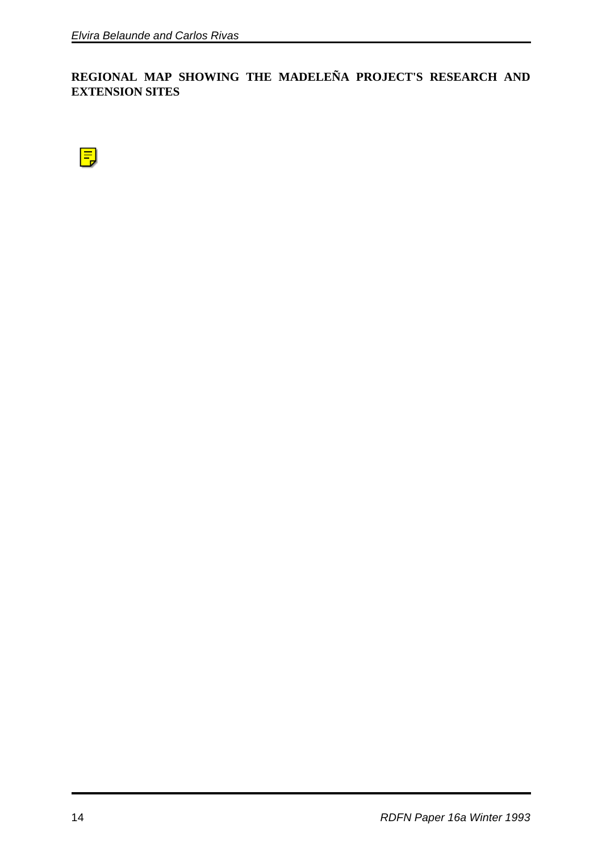**REGIONAL MAP SHOWING THE MADELEÑA PROJECT'S RESEARCH AND EXTENSION SITES**

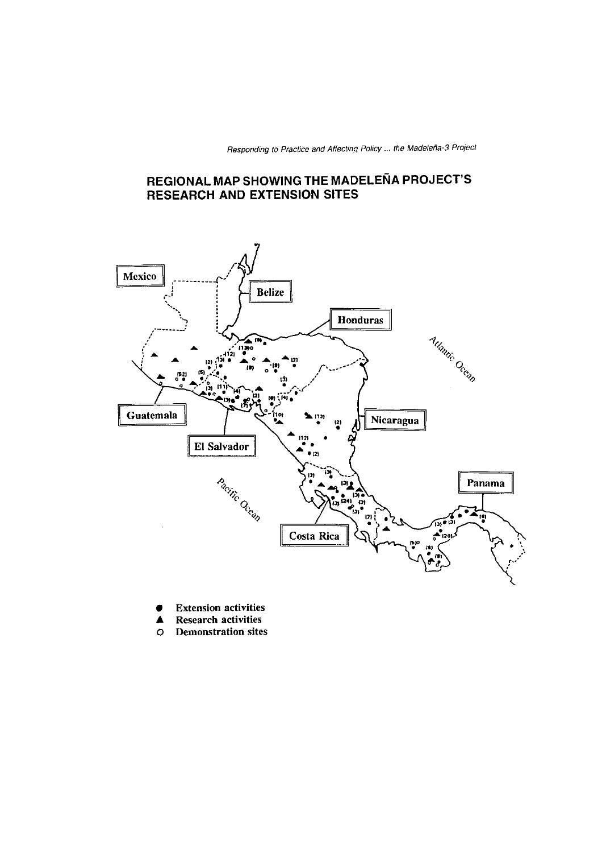Responding to Practice and Affecting Policy ... the Madeleña-3 Project

## REGIONAL MAP SHOWING THE MADELEÑA PROJECT'S **RESEARCH AND EXTENSION SITES**



- **Extension activities**  $\bullet$
- **Research activities** ▲
- **Demonstration sites**  $\circ$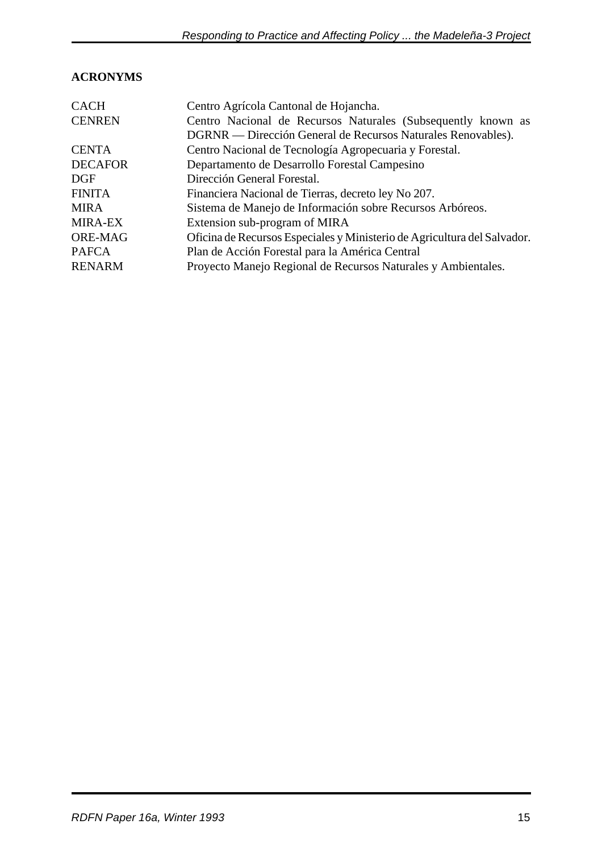# **ACRONYMS**

| <b>CACH</b>    | Centro Agrícola Cantonal de Hojancha.                                    |
|----------------|--------------------------------------------------------------------------|
| <b>CENREN</b>  | Centro Nacional de Recursos Naturales (Subsequently known as             |
|                | DGRNR — Dirección General de Recursos Naturales Renovables).             |
| <b>CENTA</b>   | Centro Nacional de Tecnología Agropecuaria y Forestal.                   |
| <b>DECAFOR</b> | Departamento de Desarrollo Forestal Campesino                            |
| $\rm DGF$      | Dirección General Forestal.                                              |
| <b>FINITA</b>  | Financiera Nacional de Tierras, decreto ley No 207.                      |
| <b>MIRA</b>    | Sistema de Manejo de Información sobre Recursos Arbóreos.                |
| <b>MIRA-EX</b> | Extension sub-program of MIRA                                            |
| <b>ORE-MAG</b> | Oficina de Recursos Especiales y Ministerio de Agricultura del Salvador. |
| <b>PAFCA</b>   | Plan de Acción Forestal para la América Central                          |
| <b>RENARM</b>  | Proyecto Manejo Regional de Recursos Naturales y Ambientales.            |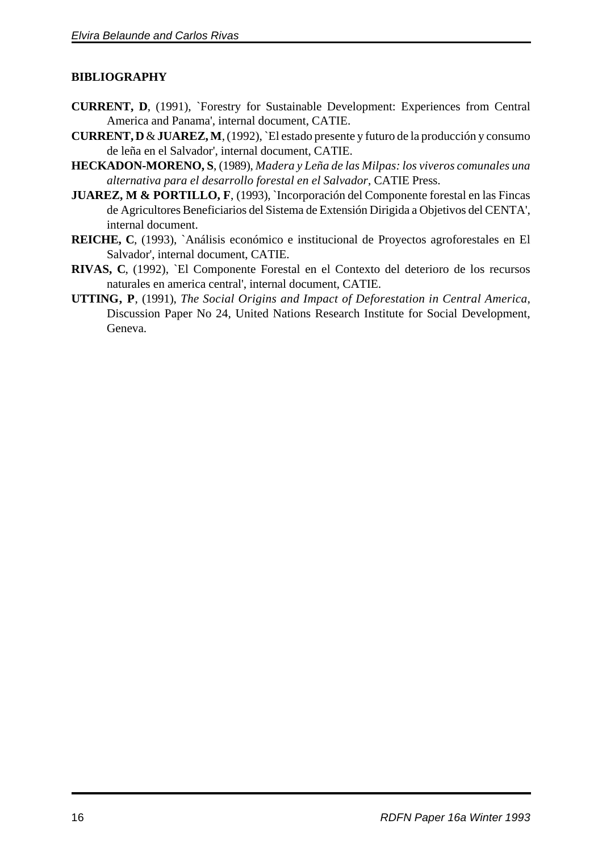## **BIBLIOGRAPHY**

- **CURRENT, D**, (1991), `Forestry for Sustainable Development: Experiences from Central America and Panama', internal document, CATIE.
- **CURRENT, D** & **JUAREZ, M**, (1992), `El estado presente y futuro de la producción y consumo de leña en el Salvador', internal document, CATIE.
- **HECKADON-MORENO, S**, (1989), *Madera y Leña de las Milpas: los viveros comunales una alternativa para el desarrollo forestal en el Salvador*, CATIE Press.
- **JUAREZ, M & PORTILLO, F**, (1993), `Incorporación del Componente forestal en las Fincas de Agricultores Beneficiarios del Sistema de Extensión Dirigida a Objetivos del CENTA', internal document.
- **REICHE, C**, (1993), `Análisis económico e institucional de Proyectos agroforestales en El Salvador', internal document, CATIE.
- **RIVAS, C**, (1992), `El Componente Forestal en el Contexto del deterioro de los recursos naturales en america central', internal document, CATIE.
- **UTTING, P**, (1991), *The Social Origins and Impact of Deforestation in Central America*, Discussion Paper No 24, United Nations Research Institute for Social Development, Geneva.